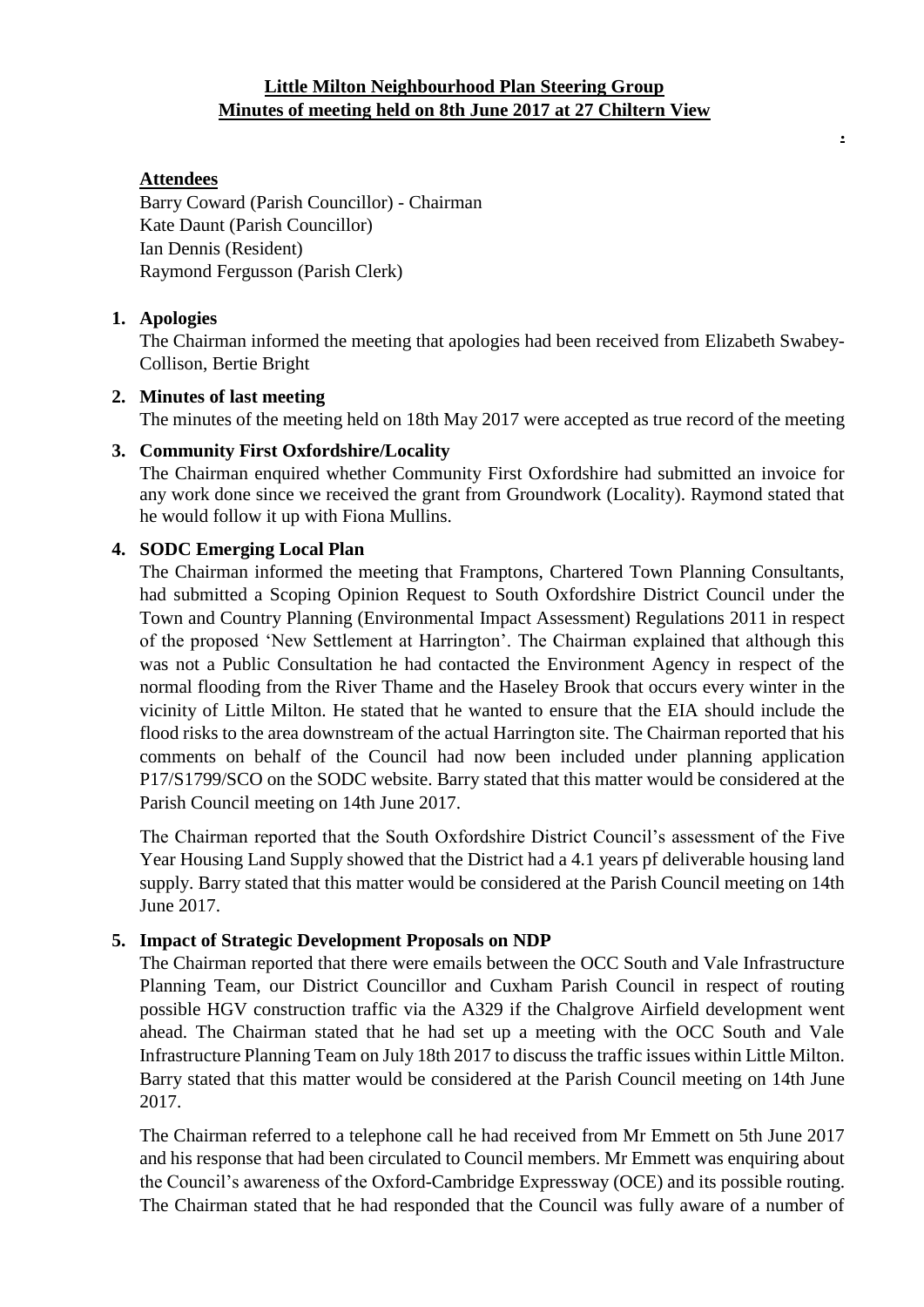## **Little Milton Neighbourhood Plan Steering Group Minutes of meeting held on 8th June 2017 at 27 Chiltern View**

**.**

# **Attendees**

Barry Coward (Parish Councillor) - Chairman Kate Daunt (Parish Councillor) Ian Dennis (Resident) Raymond Fergusson (Parish Clerk)

### **1. Apologies**

The Chairman informed the meeting that apologies had been received from Elizabeth Swabey-Collison, Bertie Bright

### **2. Minutes of last meeting**

The minutes of the meeting held on 18th May 2017 were accepted as true record of the meeting

### **3. Community First Oxfordshire/Locality**

The Chairman enquired whether Community First Oxfordshire had submitted an invoice for any work done since we received the grant from Groundwork (Locality). Raymond stated that he would follow it up with Fiona Mullins.

### **4. SODC Emerging Local Plan**

The Chairman informed the meeting that Framptons, Chartered Town Planning Consultants, had submitted a Scoping Opinion Request to South Oxfordshire District Council under the Town and Country Planning (Environmental Impact Assessment) Regulations 2011 in respect of the proposed 'New Settlement at Harrington'. The Chairman explained that although this was not a Public Consultation he had contacted the Environment Agency in respect of the normal flooding from the River Thame and the Haseley Brook that occurs every winter in the vicinity of Little Milton. He stated that he wanted to ensure that the EIA should include the flood risks to the area downstream of the actual Harrington site. The Chairman reported that his comments on behalf of the Council had now been included under planning application P17/S1799/SCO on the SODC website. Barry stated that this matter would be considered at the Parish Council meeting on 14th June 2017.

The Chairman reported that the South Oxfordshire District Council's assessment of the Five Year Housing Land Supply showed that the District had a 4.1 years pf deliverable housing land supply. Barry stated that this matter would be considered at the Parish Council meeting on 14th June 2017.

## **5. Impact of Strategic Development Proposals on NDP**

The Chairman reported that there were emails between the OCC South and Vale Infrastructure Planning Team, our District Councillor and Cuxham Parish Council in respect of routing possible HGV construction traffic via the A329 if the Chalgrove Airfield development went ahead. The Chairman stated that he had set up a meeting with the OCC South and Vale Infrastructure Planning Team on July 18th 2017 to discuss the traffic issues within Little Milton. Barry stated that this matter would be considered at the Parish Council meeting on 14th June 2017.

The Chairman referred to a telephone call he had received from Mr Emmett on 5th June 2017 and his response that had been circulated to Council members. Mr Emmett was enquiring about the Council's awareness of the Oxford-Cambridge Expressway (OCE) and its possible routing. The Chairman stated that he had responded that the Council was fully aware of a number of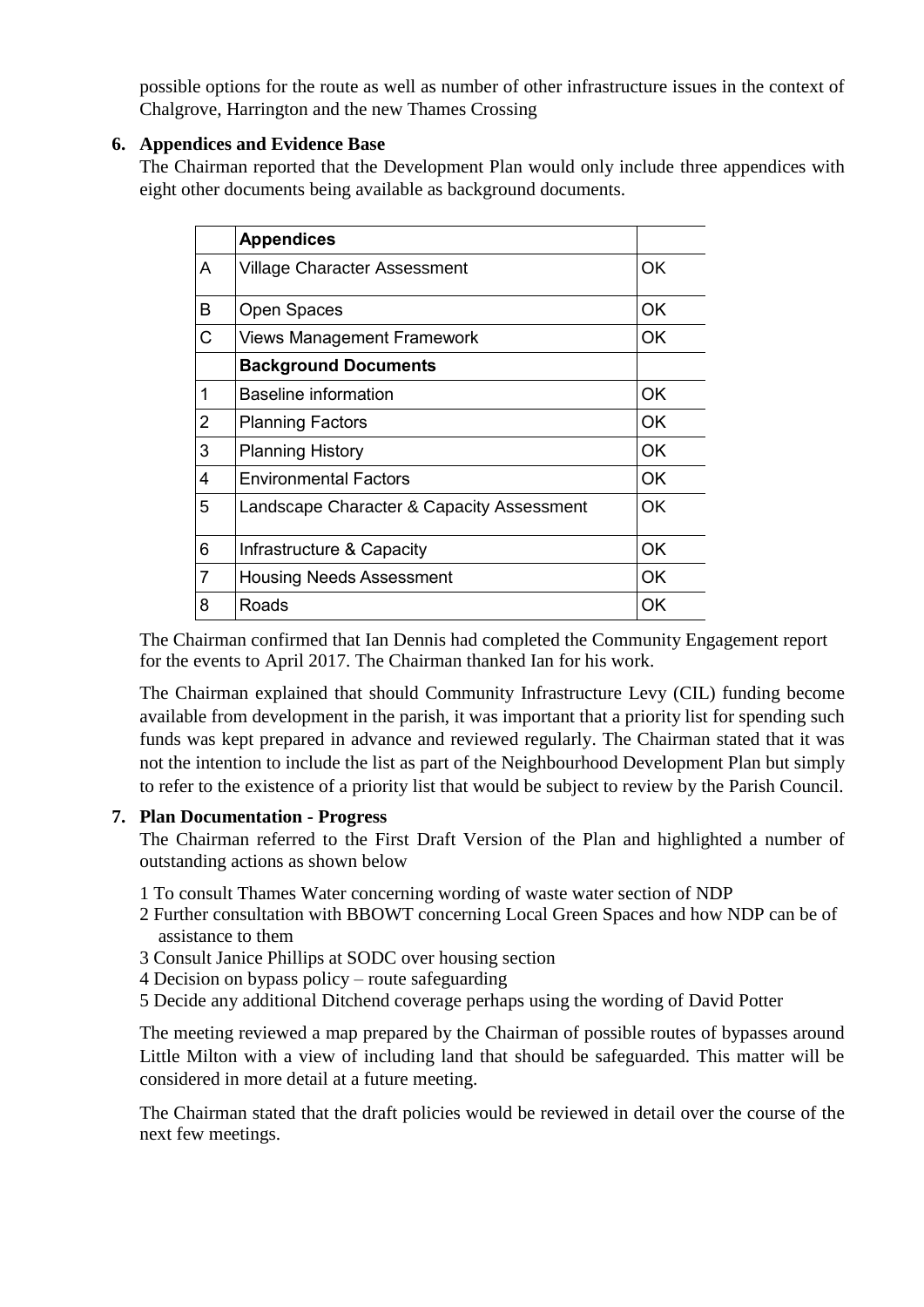possible options for the route as well as number of other infrastructure issues in the context of Chalgrove, Harrington and the new Thames Crossing

# **6. Appendices and Evidence Base**

The Chairman reported that the Development Plan would only include three appendices with eight other documents being available as background documents.

|                | <b>Appendices</b>                         |           |
|----------------|-------------------------------------------|-----------|
| A              | Village Character Assessment              | OK        |
| B              | <b>Open Spaces</b>                        | OK        |
| C              | <b>Views Management Framework</b>         | OK.       |
|                | <b>Background Documents</b>               |           |
| 1              | Baseline information                      | OK        |
| $\overline{2}$ | <b>Planning Factors</b>                   | <b>OK</b> |
| 3              | <b>Planning History</b>                   | OK        |
| 4              | <b>Environmental Factors</b>              | OK        |
| 5              | Landscape Character & Capacity Assessment | <b>OK</b> |
| 6              | Infrastructure & Capacity                 | OK.       |
| 7              | <b>Housing Needs Assessment</b>           | 0K        |
| 8              | Roads                                     | OK        |

The Chairman confirmed that Ian Dennis had completed the Community Engagement report for the events to April 2017. The Chairman thanked Ian for his work.

The Chairman explained that should Community Infrastructure Levy (CIL) funding become available from development in the parish, it was important that a priority list for spending such funds was kept prepared in advance and reviewed regularly. The Chairman stated that it was not the intention to include the list as part of the Neighbourhood Development Plan but simply to refer to the existence of a priority list that would be subject to review by the Parish Council.

## **7. Plan Documentation - Progress**

The Chairman referred to the First Draft Version of the Plan and highlighted a number of outstanding actions as shown below

- 1 To consult Thames Water concerning wording of waste water section of NDP
- 2 Further consultation with BBOWT concerning Local Green Spaces and how NDP can be of assistance to them
- 3 Consult Janice Phillips at SODC over housing section
- 4 Decision on bypass policy route safeguarding
- 5 Decide any additional Ditchend coverage perhaps using the wording of David Potter

The meeting reviewed a map prepared by the Chairman of possible routes of bypasses around Little Milton with a view of including land that should be safeguarded. This matter will be considered in more detail at a future meeting.

The Chairman stated that the draft policies would be reviewed in detail over the course of the next few meetings.